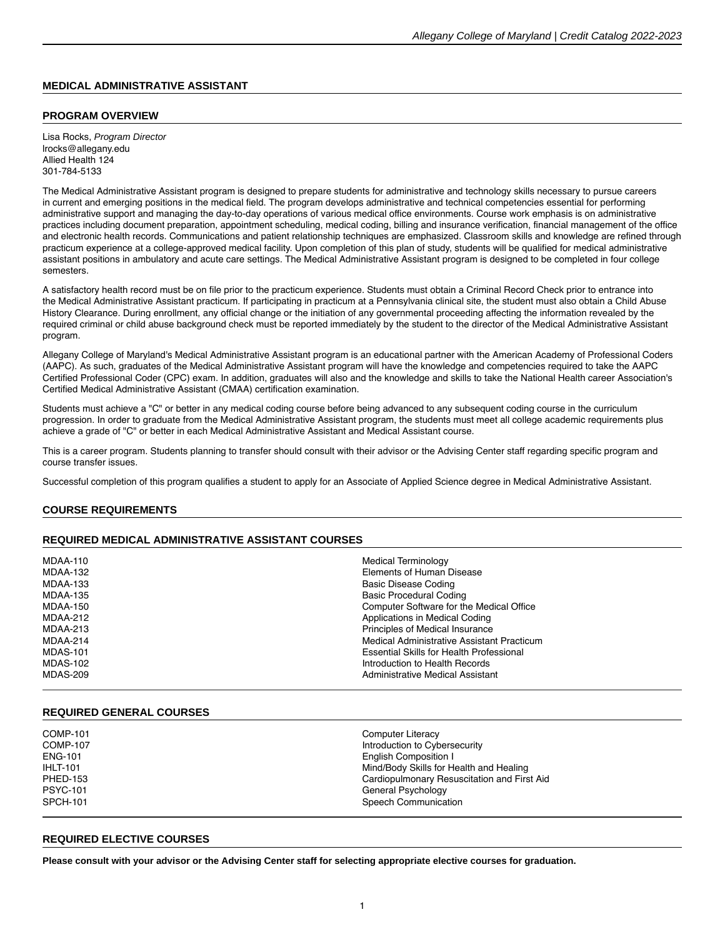## **MEDICAL ADMINISTRATIVE ASSISTANT**

### **PROGRAM OVERVIEW**

Lisa Rocks, Program Director lrocks@allegany.edu Allied Health 124 301-784-5133

The Medical Administrative Assistant program is designed to prepare students for administrative and technology skills necessary to pursue careers in current and emerging positions in the medical field. The program develops administrative and technical competencies essential for performing administrative support and managing the day-to-day operations of various medical office environments. Course work emphasis is on administrative practices including document preparation, appointment scheduling, medical coding, billing and insurance verification, financial management of the office and electronic health records. Communications and patient relationship techniques are emphasized. Classroom skills and knowledge are refined through practicum experience at a college-approved medical facility. Upon completion of this plan of study, students will be qualified for medical administrative assistant positions in ambulatory and acute care settings. The Medical Administrative Assistant program is designed to be completed in four college semesters.

A satisfactory health record must be on file prior to the practicum experience. Students must obtain a Criminal Record Check prior to entrance into the Medical Administrative Assistant practicum. If participating in practicum at a Pennsylvania clinical site, the student must also obtain a Child Abuse History Clearance. During enrollment, any official change or the initiation of any governmental proceeding affecting the information revealed by the required criminal or child abuse background check must be reported immediately by the student to the director of the Medical Administrative Assistant program.

Allegany College of Maryland's Medical Administrative Assistant program is an educational partner with the American Academy of Professional Coders (AAPC). As such, graduates of the Medical Administrative Assistant program will have the knowledge and competencies required to take the AAPC Certified Professional Coder (CPC) exam. In addition, graduates will also and the knowledge and skills to take the National Health career Association's Certified Medical Administrative Assistant (CMAA) certification examination.

Students must achieve a "C" or better in any medical coding course before being advanced to any subsequent coding course in the curriculum progression. In order to graduate from the Medical Administrative Assistant program, the students must meet all college academic requirements plus achieve a grade of "C" or better in each Medical Administrative Assistant and Medical Assistant course.

This is a career program. Students planning to transfer should consult with their advisor or the Advising Center staff regarding specific program and course transfer issues.

Successful completion of this program qualifies a student to apply for an Associate of Applied Science degree in Medical Administrative Assistant.

### **COURSE REQUIREMENTS**

### **REQUIRED MEDICAL ADMINISTRATIVE ASSISTANT COURSES**

| MDAA-110        | <b>Medical Terminology</b>                 |
|-----------------|--------------------------------------------|
| MDAA-132        | Elements of Human Disease                  |
| MDAA-133        | Basic Disease Coding                       |
| <b>MDAA-135</b> | <b>Basic Procedural Coding</b>             |
| MDAA-150        | Computer Software for the Medical Office   |
| MDAA-212        | Applications in Medical Coding             |
| MDAA-213        | Principles of Medical Insurance            |
| MDAA-214        | Medical Administrative Assistant Practicum |
| <b>MDAS-101</b> | Essential Skills for Health Professional   |
| <b>MDAS-102</b> | Introduction to Health Records             |
| MDAS-209        | Administrative Medical Assistant           |
|                 |                                            |

### **REQUIRED GENERAL COURSES**

| COMP-101        | Computer Literacy                           |
|-----------------|---------------------------------------------|
| <b>COMP-107</b> | Introduction to Cybersecurity               |
| <b>ENG-101</b>  | English Composition I                       |
| <b>IHLT-101</b> | Mind/Body Skills for Health and Healing     |
| <b>PHED-153</b> | Cardiopulmonary Resuscitation and First Aid |
| <b>PSYC-101</b> | General Psychology                          |
| <b>SPCH-101</b> | Speech Communication                        |
|                 |                                             |

### **REQUIRED ELECTIVE COURSES**

**Please consult with your advisor or the Advising Center staff for selecting appropriate [elective courses](https://catalog.allegany.edu/current/degrees-and-programs/academic-information.html#electives) for graduation.**